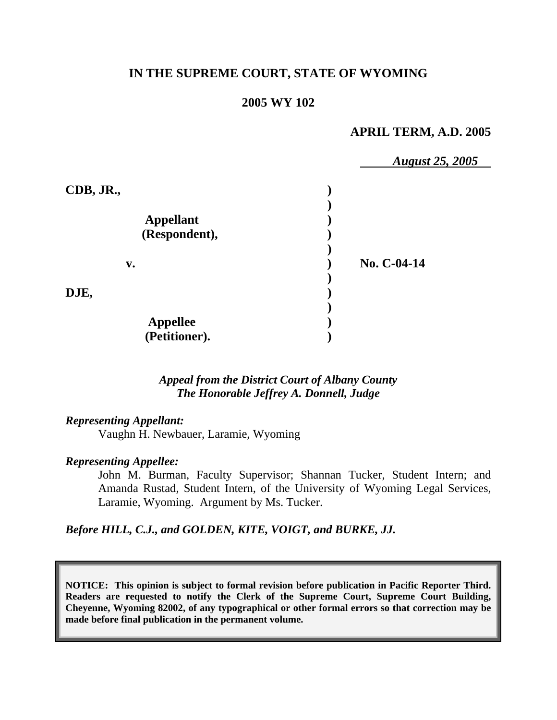# **IN THE SUPREME COURT, STATE OF WYOMING**

# **2005 WY 102**

# **APRIL TERM, A.D. 2005**

|                  | <b>August 25, 2005</b> |
|------------------|------------------------|
| CDB, JR.,        |                        |
|                  |                        |
| <b>Appellant</b> |                        |
| (Respondent),    |                        |
| $\mathbf{v}$ .   | No. C-04-14            |
| DJE,             |                        |
| <b>Appellee</b>  |                        |
| (Petitioner).    |                        |

## *Appeal from the District Court of Albany County The Honorable Jeffrey A. Donnell, Judge*

## *Representing Appellant:*

Vaughn H. Newbauer, Laramie, Wyoming

### *Representing Appellee:*

John M. Burman, Faculty Supervisor; Shannan Tucker, Student Intern; and Amanda Rustad, Student Intern, of the University of Wyoming Legal Services, Laramie, Wyoming. Argument by Ms. Tucker.

*Before HILL, C.J., and GOLDEN, KITE, VOIGT, and BURKE, JJ.* 

**NOTICE: This opinion is subject to formal revision before publication in Pacific Reporter Third. Readers are requested to notify the Clerk of the Supreme Court, Supreme Court Building, Cheyenne, Wyoming 82002, of any typographical or other formal errors so that correction may be made before final publication in the permanent volume.**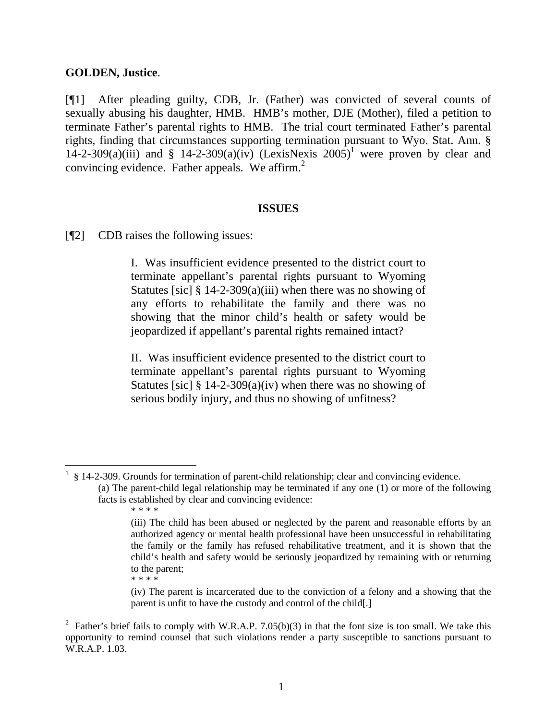### **GOLDEN, Justice**.

[¶1] After pleading guilty, CDB, Jr. (Father) was convicted of several counts of sexually abusing his daughter, HMB. HMB's mother, DJE (Mother), filed a petition to terminate Father's parental rights to HMB. The trial court terminated Father's parental rights, finding that circumstances supporting termination pursuant to Wyo. Stat. Ann. § [1](#page-1-0)4-2-309(a)(iii) and § 14-2-309(a)(iv) (LexisNexis  $2005$ <sup>1</sup> were proven by clear and convincing evidence. Father appeals. We affirm.<sup>[2](#page-1-1)</sup>

#### **ISSUES**

[¶2] CDB raises the following issues:

I. Was insufficient evidence presented to the district court to terminate appellant's parental rights pursuant to Wyoming Statutes [sic]  $\S 14$ -2-309(a)(iii) when there was no showing of any efforts to rehabilitate the family and there was no showing that the minor child's health or safety would be jeopardized if appellant's parental rights remained intact?

II. Was insufficient evidence presented to the district court to terminate appellant's parental rights pursuant to Wyoming Statutes [sic]  $\S 14$ -2-309(a)(iv) when there was no showing of serious bodily injury, and thus no showing of unfitness?

<span id="page-1-0"></span><sup>1</sup> § 14-2-309. Grounds for termination of parent-child relationship; clear and convincing evidence.

 $\overline{a}$ 

(iv) The parent is incarcerated due to the conviction of a felony and a showing that the parent is unfit to have the custody and control of the child[.]

<sup>(</sup>a) The parent-child legal relationship may be terminated if any one (1) or more of the following facts is established by clear and convincing evidence:

<sup>\* \* \* \*</sup> 

<sup>(</sup>iii) The child has been abused or neglected by the parent and reasonable efforts by an authorized agency or mental health professional have been unsuccessful in rehabilitating the family or the family has refused rehabilitative treatment, and it is shown that the child's health and safety would be seriously jeopardized by remaining with or returning to the parent; \* \* \* \*

<span id="page-1-1"></span><sup>&</sup>lt;sup>2</sup> Father's brief fails to comply with W.R.A.P. 7.05(b)(3) in that the font size is too small. We take this opportunity to remind counsel that such violations render a party susceptible to sanctions pursuant to W.R.A.P. 1.03.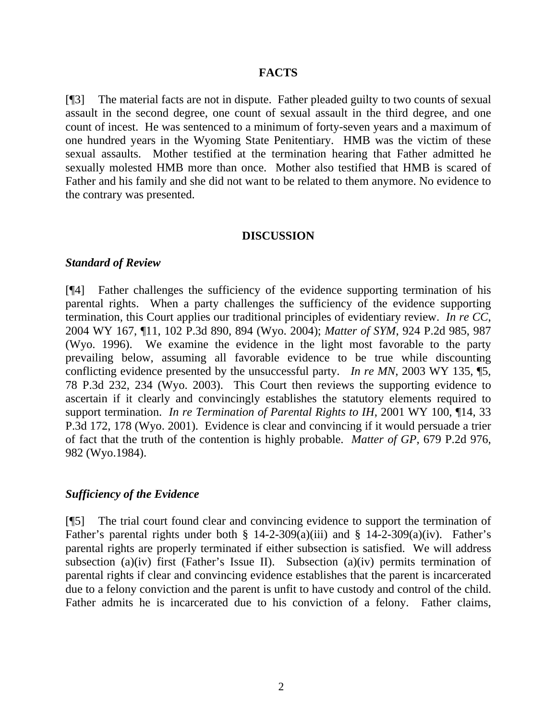### **FACTS**

[¶3] The material facts are not in dispute. Father pleaded guilty to two counts of sexual assault in the second degree, one count of sexual assault in the third degree, and one count of incest. He was sentenced to a minimum of forty-seven years and a maximum of one hundred years in the Wyoming State Penitentiary. HMB was the victim of these sexual assaults. Mother testified at the termination hearing that Father admitted he sexually molested HMB more than once. Mother also testified that HMB is scared of Father and his family and she did not want to be related to them anymore. No evidence to the contrary was presented.

#### **DISCUSSION**

#### *Standard of Review*

[¶4] Father challenges the sufficiency of the evidence supporting termination of his parental rights. When a party challenges the sufficiency of the evidence supporting termination, this Court applies our traditional principles of evidentiary review. *In re CC*, 2004 WY 167, ¶11, 102 P.3d 890, 894 (Wyo. 2004); *Matter of SYM*, 924 P.2d 985, 987 (Wyo. 1996). We examine the evidence in the light most favorable to the party prevailing below, assuming all favorable evidence to be true while discounting conflicting evidence presented by the unsuccessful party. *In re MN*, 2003 WY 135, ¶5, 78 P.3d 232, 234 (Wyo. 2003). This Court then reviews the supporting evidence to ascertain if it clearly and convincingly establishes the statutory elements required to support termination. *In re Termination of Parental Rights to IH*, 2001 WY 100, ¶14, 33 P.3d 172, 178 (Wyo. 2001). Evidence is clear and convincing if it would persuade a trier of fact that the truth of the contention is highly probable. *Matter of GP*, 679 P.2d 976, 982 (Wyo.1984).

### *Sufficiency of the Evidence*

[¶5] The trial court found clear and convincing evidence to support the termination of Father's parental rights under both § 14-2-309(a)(iii) and § 14-2-309(a)(iv). Father's parental rights are properly terminated if either subsection is satisfied. We will address subsection (a)(iv) first (Father's Issue II). Subsection (a)(iv) permits termination of parental rights if clear and convincing evidence establishes that the parent is incarcerated due to a felony conviction and the parent is unfit to have custody and control of the child. Father admits he is incarcerated due to his conviction of a felony. Father claims,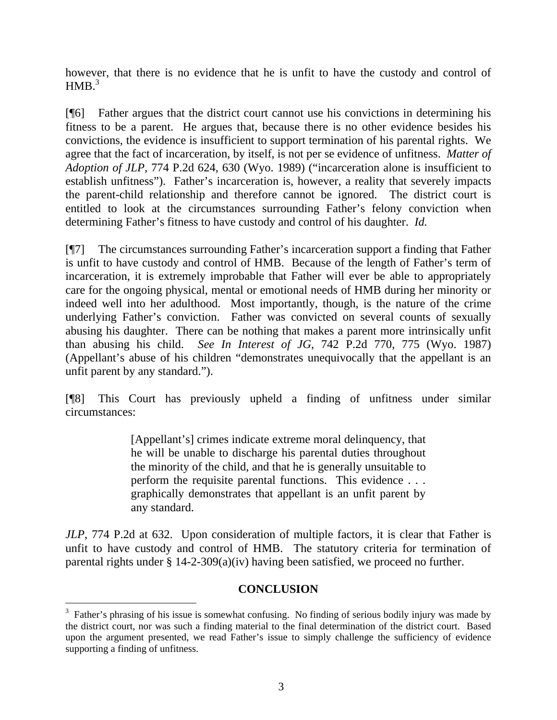however, that there is no evidence that he is unfit to have the custody and control of  $HMB.<sup>3</sup>$  $HMB.<sup>3</sup>$  $HMB.<sup>3</sup>$ 

[¶6] Father argues that the district court cannot use his convictions in determining his fitness to be a parent. He argues that, because there is no other evidence besides his convictions, the evidence is insufficient to support termination of his parental rights. We agree that the fact of incarceration, by itself, is not per se evidence of unfitness. *Matter of Adoption of JLP*, 774 P.2d 624, 630 (Wyo. 1989) ("incarceration alone is insufficient to establish unfitness"). Father's incarceration is, however, a reality that severely impacts the parent-child relationship and therefore cannot be ignored. The district court is entitled to look at the circumstances surrounding Father's felony conviction when determining Father's fitness to have custody and control of his daughter. *Id.*

[¶7] The circumstances surrounding Father's incarceration support a finding that Father is unfit to have custody and control of HMB. Because of the length of Father's term of incarceration, it is extremely improbable that Father will ever be able to appropriately care for the ongoing physical, mental or emotional needs of HMB during her minority or indeed well into her adulthood. Most importantly, though, is the nature of the crime underlying Father's conviction. Father was convicted on several counts of sexually abusing his daughter. There can be nothing that makes a parent more intrinsically unfit than abusing his child. *See In Interest of JG*, 742 P.2d 770, 775 (Wyo. 1987) (Appellant's abuse of his children "demonstrates unequivocally that the appellant is an unfit parent by any standard.").

[¶8] This Court has previously upheld a finding of unfitness under similar circumstances:

> [Appellant's] crimes indicate extreme moral delinquency, that he will be unable to discharge his parental duties throughout the minority of the child, and that he is generally unsuitable to perform the requisite parental functions. This evidence . . . graphically demonstrates that appellant is an unfit parent by any standard.

*JLP*, 774 P.2d at 632. Upon consideration of multiple factors, it is clear that Father is unfit to have custody and control of HMB. The statutory criteria for termination of parental rights under § 14-2-309(a)(iv) having been satisfied, we proceed no further.

# **CONCLUSION**

l

<span id="page-3-0"></span> $3$  Father's phrasing of his issue is somewhat confusing. No finding of serious bodily injury was made by the district court, nor was such a finding material to the final determination of the district court. Based upon the argument presented, we read Father's issue to simply challenge the sufficiency of evidence supporting a finding of unfitness.